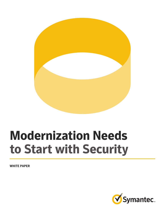

# **Modernization Needs to Start with Security**

**WHITE PAPER**

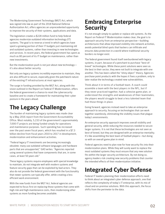The Modernizing Government Technology (MGT) Act, which was signed into law as part of the 2018 National Defense Authorization Act, offers agencies an unprecedented opportunity to improve the security of their systems, applications and data.

The legislation creates a \$228 million fund to help federal agencies modernize outdated information technology (IT) systems. The goal is to reverse a trend in which agencies have spent a growing portion of their IT budgets just maintaining old and outdated systems, rather than investing in new technologies and services. In recent years, the federal government has spent as much as 80 percent of its IT budget on maintenance, rather than new investments.

But the modernization push is not just about new technology it's also about better security.

Not only are legacy systems incredibly expensive to maintain, they are also difficult to secure, especially given the patchwork nature of the existing IT infrastructures at most agencies.

The surge in funding provided by the MGT Act, along with the vision outlined in the Report on Federal IT Modernization, offers the federal government a chance to reset the cybersecurity baseline and to create a framework for maintaining their cyber posture in the years ahead.

# **The Legacy Challenge**

The burden of maintaining legacy systems was made clear by a May 2016 report from the Government Accountability Office. Most notably, 5,233 of the government's approximately 7,000 IT projects are being funded simply for operations and maintenance purposes. Such spending has increased over the past seven fiscal years, which has resulted in a \$7.3 billion decline from fiscal years 2010 to 2017 in development, modernization and enhancement activities.

"Federal legacy IT investments are becoming increasingly obsolete: many use outdated software languages and hardware parts that are unsupported," GAO writes. "Agencies reported using several systems that have components that are, in some cases, at least 50 years old."

These legacy systems require employees with special knowledge to maintain, do not integrate well with modern systems and feature security gaps that can be exploited by bad actors. They also do not provide the federal government with the functionality that newer systems can typically offer, while creating a less efficient work environment.

With the new funds from the MGT Act, federal agencies are expected to focus first on replacing those systems that come with high risk and high maintenance costs, then modernizing other systems as more funding becomes available.

#### **Embracing Enterprise Security**

It's not enough simply to update or replace old systems. As the Report on Federal IT Modernization makes clear, the goal is to approach security from an enterprise perspective—building architectures that allow improved visibility into network activities, avoids potential blind spots that hackers can infiltrate and ensures data protection in a world where traditional security borders no longer exist.

The federal government found itself overburdened with legacy systems, in part, because of a penchant to purchase "best-ofbreed" technologies. While these point solutions were seen as the best in their sector, they were not built to integrate with one another. This has been called the "shiny object" theory. Agencies purchase point products with the hopes it fixes a problem, only to later realize the technology created new vulnerabilities.

Think about it in terms of a football team. A coach could assemble a team with the best players in the NFL, but if they never practiced together, had a cohesive game plan, or understood the strengths and weaknesses of their teammates, the players would struggle to beat a less talented team that had those things in place.

Going forward, agencies instead need to take an enterprise approach to security, focusing on technologies that can work together seamlessly, eliminating the visibility issues that plague today's environments.

An enterprise security approach improves overall visibility and general security, while reducing the resources needed to secure larger systems. It is not that these technologies are not seen as best-of-breed, but they are designed with an enterprise mentality. It's like assembling the best team of football players—but doing so with an overall game plan in mind.

Federal agencies need to plan now for how security fits into their modernization plans. While they will surely want to replace the most outdated systems they must ensure that any new solution fits within the larger security architecture. By not doing so, agency leaders risk creating new security problems that counter the intended effects of their modernization initiative.

# **Integrated Cyber Defense**

Federal IT leaders planning their modernization efforts need to think about an integrated cyber defense approach, one that reflects the complexity of today's IT enterprise, with its mix of cloud and on-premise solutions. With this approach, the focus shifts from the perimeter to the data.